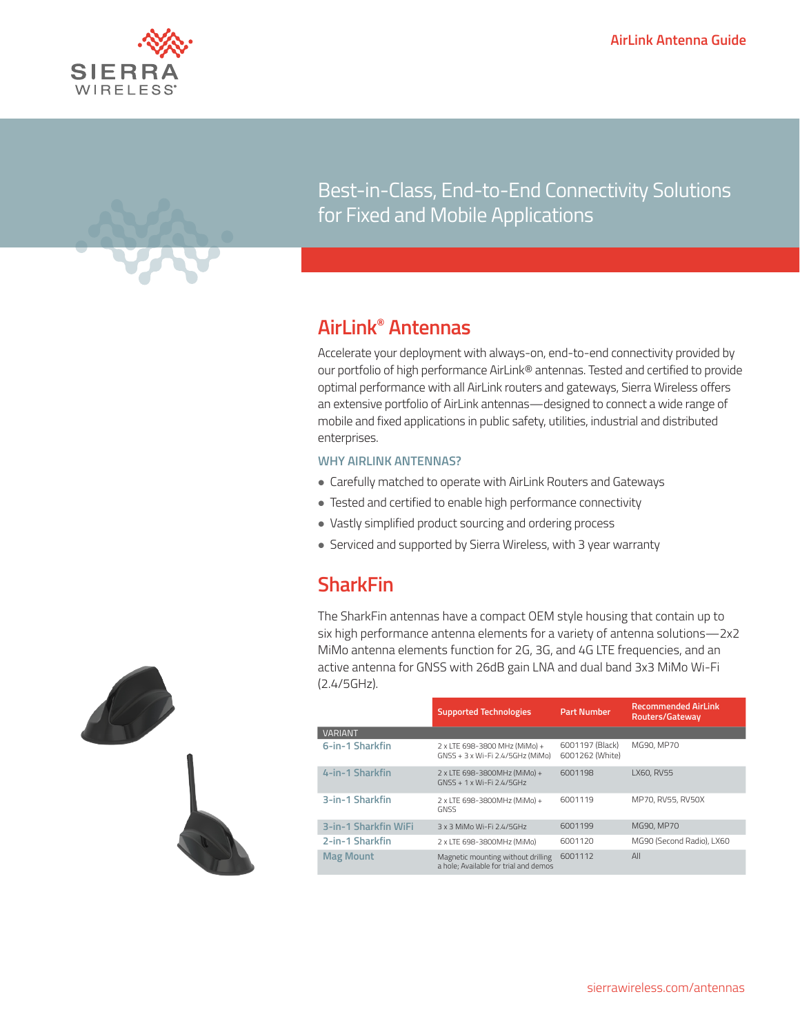



Best-in-Class, End-to-End Connectivity Solutions for Fixed and Mobile Applications

#### **AirLink® Antennas**

Sierra Wireless

Accelerate your deployment with always-on, end-to-end connectivity provided by our portfolio of high performance AirLink® antennas. Tested and certified to provide optimal performance with all AirLink routers and gateways, Sierra Wireless offers an extensive portfolio of AirLink antennas—designed to connect a wide range of mobile and fixed applications in public safety, utilities, industrial and distributed enterprises.

#### **WHY AIRLINK ANTENNAS?**

- Carefully matched to operate with AirLink Routers and Gateways
- Tested and certified to enable high performance connectivity
- Vastly simplified product sourcing and ordering process
- Serviced and supported by Sierra Wireless, with 3 year warranty

## **SharkFin**

The SharkFin antennas have a compact OEM style housing that contain up to six high performance antenna elements for a variety of antenna solutions—2x2 MiMo antenna elements function for 2G, 3G, and 4G LTE frequencies, and an active antenna for GNSS with 26dB gain LNA and dual band 3x3 MiMo Wi-Fi (2.4/5GHz).

|                      | <b>Supported Technologies</b>                                               | <b>Part Number</b>                 | <b>Recommended AirLink</b><br>Routers/Gateway |  |
|----------------------|-----------------------------------------------------------------------------|------------------------------------|-----------------------------------------------|--|
| <b>VARIANT</b>       |                                                                             |                                    |                                               |  |
| 6-in-1 Sharkfin      | 2 x LTE 698-3800 MHz (MiMo) +<br>GNSS + 3 x Wi-Fi 2.4/5GHz (MiMo)           | 6001197 (Black)<br>6001262 (White) | MG90, MP70                                    |  |
| 4-in-1 Sharkfin      | 2 x LTE 698-3800MHz (MiMo) +<br>GNSS + 1 x Wi-Fi 2.4/5GHz                   | 6001198                            | LX60, RV55                                    |  |
| 3-in-1 Sharkfin      | 2 x LTE 698-3800MHz (MiMo) +<br><b>GNSS</b>                                 | 6001119                            | MP70, RV55, RV50X                             |  |
| 3-in-1 Sharkfin WiFi | 3 x 3 MiMo Wi-Fi 2.4/5GHz                                                   | 6001199                            | MG90, MP70                                    |  |
| 2-in-1 Sharkfin      | 2 x LTE 698-3800MHz (MiMo)                                                  | 6001120                            | MG90 (Second Radio), LX60                     |  |
| <b>Mag Mount</b>     | Magnetic mounting without drilling<br>a hole: Available for trial and demos | 6001112                            | All                                           |  |

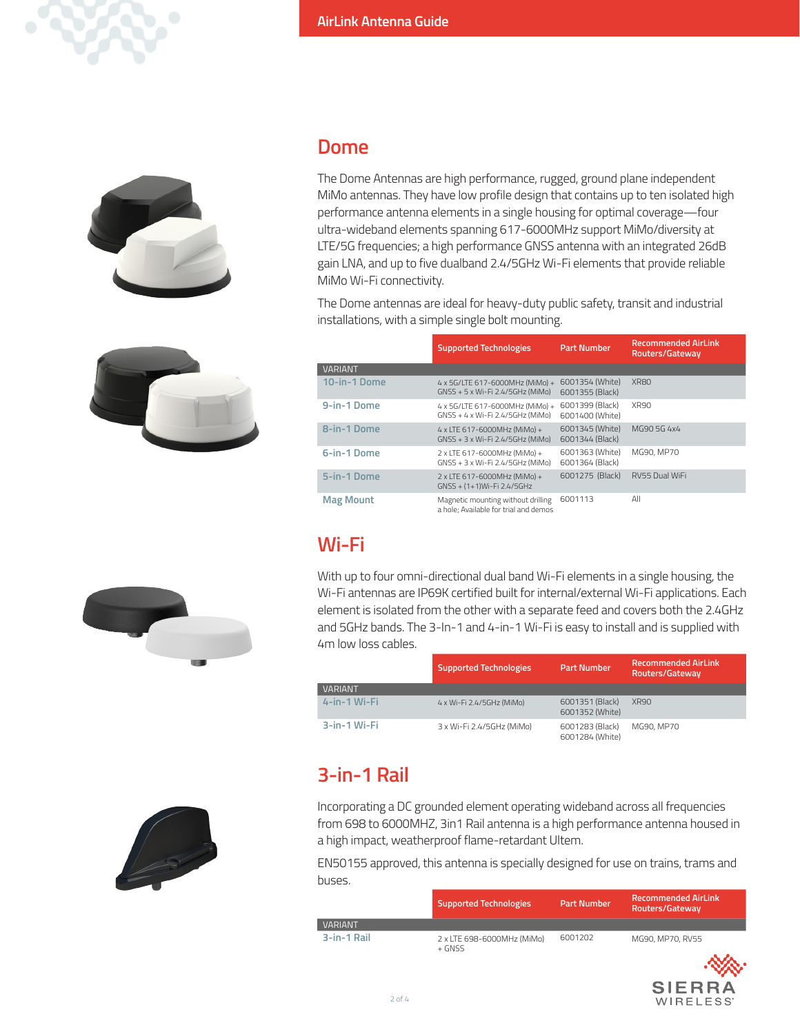





#### **Dome**

The Dome Antennas are high performance, rugged, ground plane independent MiMo antennas. They have low profile design that contains up to ten isolated high performance antenna elements in a single housing for optimal coverage—four ultra-wideband elements spanning 617-6000MHz support MiMo/diversity at LTE/5G frequencies; a high performance GNSS antenna with an integrated 26dB gain LNA, and up to five dualband 2.4/5GHz Wi-Fi elements that provide reliable MiMo Wi-Fi connectivity.

The Dome antennas are ideal for heavy-duty public safety, transit and industrial installations, with a simple single bolt mounting.

|                  | <b>Supported Technologies</b>                                                                             | <b>Part Number</b>                 | <b>Recommended AirLink</b><br>Routers/Gateway |
|------------------|-----------------------------------------------------------------------------------------------------------|------------------------------------|-----------------------------------------------|
| <b>VARIANT</b>   |                                                                                                           |                                    |                                               |
| 10-in-1 Dome     | 6001354 (White)<br>4 x 5G/LTE 617-6000MHz (MiMo) +<br>6001355 (Black)<br>GNSS + 5 x Wi-Fi 2.4/5GHz (MiMo) |                                    | XR80                                          |
| 9-in-1 Dome      | 4 x 5G/LTE 617-6000MHz (MiMo) +<br>GNSS + 4 x Wi-Fi 2.4/5GHz (MiMo)                                       | 6001399 (Black)<br>6001400 (White) | <b>XR90</b>                                   |
| 8-in-1 Dome      | 4 x LTE 617-6000MHz (MiMo) +<br>GNSS + 3 x Wi-Fi 2.4/5GHz (MiMo)                                          | 6001345 (White)<br>6001344 (Black) | MG90 5G 4x4                                   |
| 6-in-1 Dome      | 2 x LTE 617-6000MHz (MiMo) +<br>GNSS + 3 x Wi-Fi 2.4/5GHz (MiMo)                                          | 6001363 (White)<br>6001364 (Black) | MG90, MP70                                    |
| 5-in-1 Dome      | 2 x LTE 617-6000MHz (MiMo) +<br>GNSS + (1+1)Wi-Fi 2.4/5GHz                                                | 6001275 (Black)                    | RV55 Dual WiFi                                |
| <b>Mag Mount</b> | Magnetic mounting without drilling<br>a hole; Available for trial and demos                               | 6001113                            | All                                           |

# **Wi-Fi**

With up to four omni-directional dual band Wi-Fi elements in a single housing, the Wi-Fi antennas are IP69K certified built for internal/external Wi-Fi applications. Each element is isolated from the other with a separate feed and covers both the 2.4GHz and 5GHz bands. The 3-In-1 and 4-in-1 Wi-Fi is easy to install and is supplied with 4m low loss cables.

|                 | <b>Supported Technologies</b> | <b>Part Number</b>                 | <b>Recommended AirLink</b><br>Routers/Gateway |
|-----------------|-------------------------------|------------------------------------|-----------------------------------------------|
| <b>VARIANT</b>  |                               |                                    |                                               |
| $4$ -in-1 Mi-Fi | 4 x Wi-Fi 2.4/5GHz (MiMo)     | 6001351 (Black)<br>6001352 (White) | <b>XR90</b>                                   |
| 3-in-1 Wi-Fi    | 3 x Wi-Fi 2.4/5GHz (MiMo)     | 6001283 (Black)<br>6001284 (White) | MG90, MP70                                    |

## **3-in-1 Rail**

Incorporating a DC grounded element operating wideband across all frequencies from 698 to 6000MHZ, 3in1 Rail antenna is a high performance antenna housed in a high impact, weatherproof flame-retardant Ultem.

EN50155 approved, this antenna is specially designed for use on trains, trams and buses.

|             | <b>Supported Technologies</b>          | <b>Part Number</b> |                  | <b>Recommended AirLink</b><br>Routers/Gateway |  |  |
|-------------|----------------------------------------|--------------------|------------------|-----------------------------------------------|--|--|
| VARIANT     |                                        |                    |                  |                                               |  |  |
| 3-in-1 Rail | 2 x LTE 698-6000MHz (MiMo)<br>$+$ GNSS | 6001202            | MG90, MP70, RV55 |                                               |  |  |





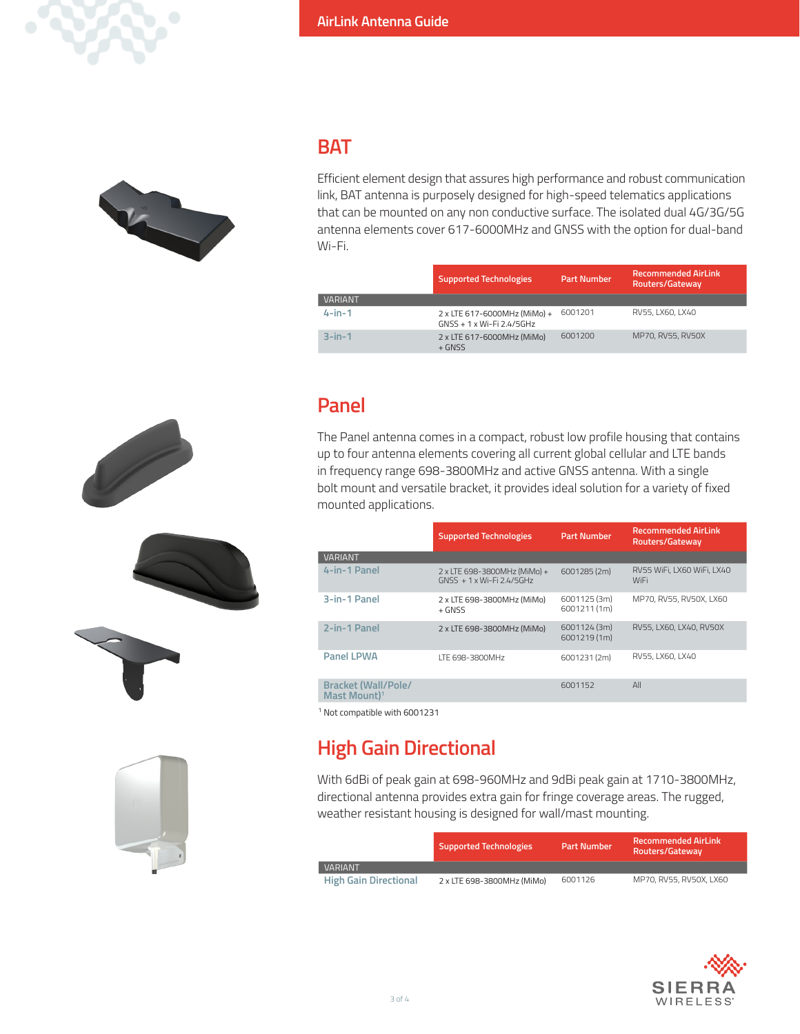



 $\mathscr{S}$ 

#### **BAT**

Efficient element design that assures high performance and robust communication link, BAT antenna is purposely designed for high-speed telematics applications that can be mounted on any non conductive surface. The isolated dual 4G/3G/5G antenna elements cover 617-6000MHz and GNSS with the option for dual-band Wi-Fi.

|                | <b>Supported Technologies</b>                             | Part Number | <b>Recommended AirLink</b><br>Routers/Gateway |
|----------------|-----------------------------------------------------------|-------------|-----------------------------------------------|
| <b>VARIANT</b> |                                                           |             |                                               |
| $4$ -in-1      | 2 x LTE 617-6000MHz (MiMo) +<br>GNSS + 1 x Wi-Fi 2.4/5GHz | 6001201     | RV55, LX60, LX40                              |
| $3$ -in-1      | 2 x LTE 617-6000MHz (MiMo)<br>$+$ GNSS                    | 6001200     | MP70, RV55, RV50X                             |

### **Panel**

The Panel antenna comes in a compact, robust low profile housing that contains up to four antenna elements covering all current global cellular and LTE bands in frequency range 698-3800MHz and active GNSS antenna. With a single bolt mount and versatile bracket, it provides ideal solution for a variety of fixed mounted applications.

|                                                 | <b>Part Number</b><br><b>Supported Technologies</b>       |                              | <b>Recommended AirLink</b><br>Routers/Gateway |  |  |
|-------------------------------------------------|-----------------------------------------------------------|------------------------------|-----------------------------------------------|--|--|
| <b>VARIANT</b>                                  |                                                           |                              |                                               |  |  |
| 4-in-1 Panel                                    | 2 x LTE 698-3800MHz (MiMo) +<br>GNSS + 1 x Wi-Fi 2.4/5GHz | 6001285 (2m)                 | RV55 WiFi, LX60 WiFi, LX40<br><b>WiFi</b>     |  |  |
| 3-in-1 Panel                                    | 2 x LTE 698-3800MHz (MiMo)<br>$+$ GNSS                    | 6001125 (3m)<br>6001211 (1m) | MP70, RV55, RV50X, LX60                       |  |  |
| 2-in-1 Panel                                    | 2 x LTE 698-3800MHz (MiMo)                                | 6001124 (3m)<br>6001219 (1m) | RV55, LX60, LX40, RV50X                       |  |  |
| <b>Panel LPWA</b>                               | ITF 698-3800MHz                                           | 6001231(2m)                  | RV55, LX60, LX40                              |  |  |
| Bracket (Wall/Pole/<br>Mast Mount) <sup>1</sup> |                                                           | 6001152                      | All                                           |  |  |
|                                                 |                                                           |                              |                                               |  |  |

1 Not compatible with 6001231

# **High Gain Directional**

With 6dBi of peak gain at 698-960MHz and 9dBi peak gain at 1710-3800MHz, directional antenna provides extra gain for fringe coverage areas. The rugged, weather resistant housing is designed for wall/mast mounting.

|                              | <b>Supported Technologies</b> | <b>Part Number</b> | <b>Recommended AirLink</b><br>Routers/Gateway |
|------------------------------|-------------------------------|--------------------|-----------------------------------------------|
| <b>VARIANT</b>               |                               |                    |                                               |
| <b>High Gain Directional</b> | 2 x LTE 698-3800MHz (MiMo)    | 6001126            | MP70, RV55, RV50X, LX60                       |